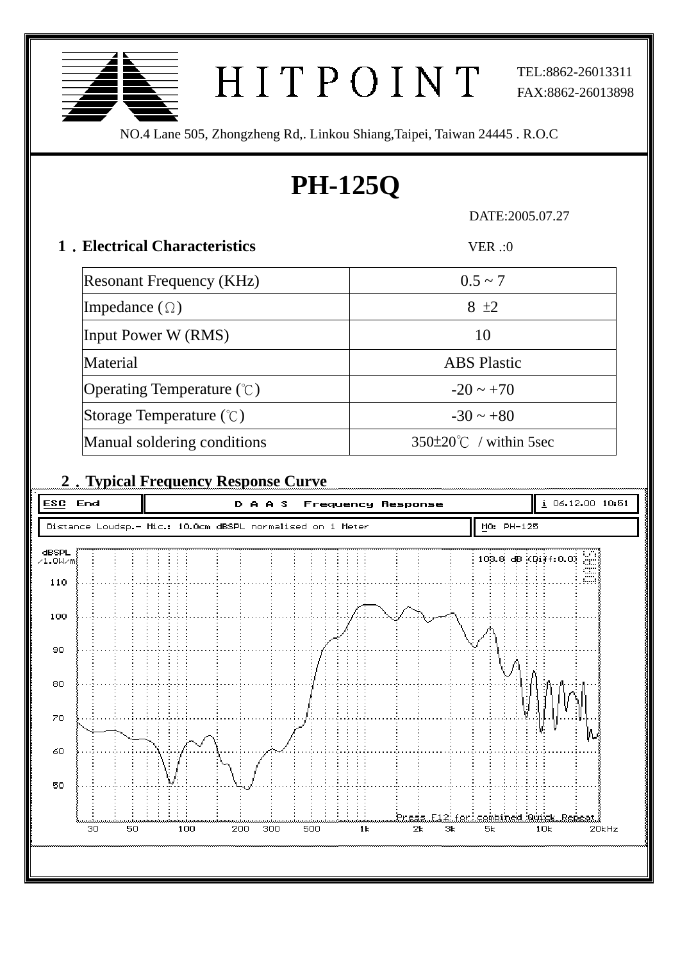| TEL:8862-26013311<br>HITPOINT<br>FAX:8862-26013898<br>NO.4 Lane 505, Zhongzheng Rd,. Linkou Shiang, Taipei, Taiwan 24445 . R.O.C |                                               |  |  |  |
|----------------------------------------------------------------------------------------------------------------------------------|-----------------------------------------------|--|--|--|
| <b>PH-125Q</b>                                                                                                                   |                                               |  |  |  |
| DATE:2005.07.27                                                                                                                  |                                               |  |  |  |
| 1. Electrical Characteristics<br>VER:0                                                                                           |                                               |  |  |  |
| <b>Resonant Frequency (KHz)</b>                                                                                                  | $0.5 \sim 7$                                  |  |  |  |
| Impedance $(\Omega)$                                                                                                             | $8 \pm 2$                                     |  |  |  |
| Input Power W (RMS)                                                                                                              | 10                                            |  |  |  |
| Material                                                                                                                         | <b>ABS</b> Plastic                            |  |  |  |
| Operating Temperature $(\mathcal{C})$                                                                                            | $-20 \sim +70$                                |  |  |  |
| Storage Temperature $(\degree C)$                                                                                                | $-30 \sim +80$                                |  |  |  |
| Manual soldering conditions                                                                                                      | $350\pm20^{\circ}$ / within 5sec              |  |  |  |
| 2. Typical Frequency Response Curve                                                                                              |                                               |  |  |  |
| <b>ESC</b><br>End<br>DAAS                                                                                                        | i 06.12.00 10:51<br><b>Frequency Response</b> |  |  |  |
| MO: PH-125<br>Distance Loudsp.- Mic.: 10.0cm dBSPL normalised on 1 Meter                                                         |                                               |  |  |  |
| dBSPL<br>103.8 dB (Diff:0.0)<br>$\times1.0$ W $\times$ m                                                                         |                                               |  |  |  |
| 110<br>100                                                                                                                       |                                               |  |  |  |
| 90                                                                                                                               |                                               |  |  |  |

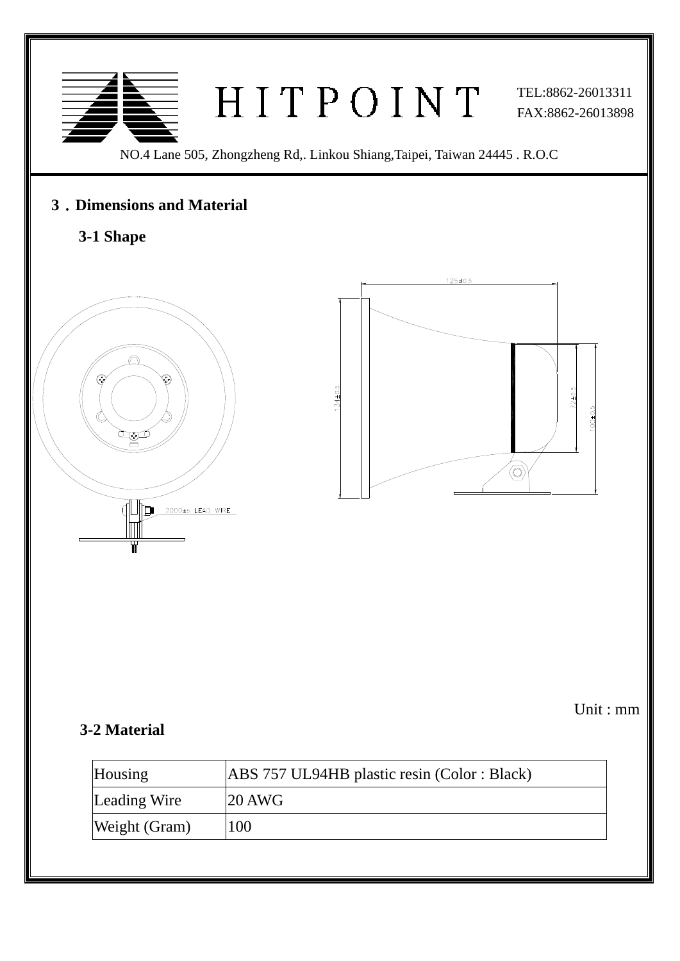

### **3**﹒**Dimensions and Material**

# **3-1 Shape**



Unit : mm

#### **3-2 Material**

Ī

| Housing       | ABS 757 UL94HB plastic resin (Color: Black) |
|---------------|---------------------------------------------|
| Leading Wire  | $20$ AWG                                    |
| Weight (Gram) | 100                                         |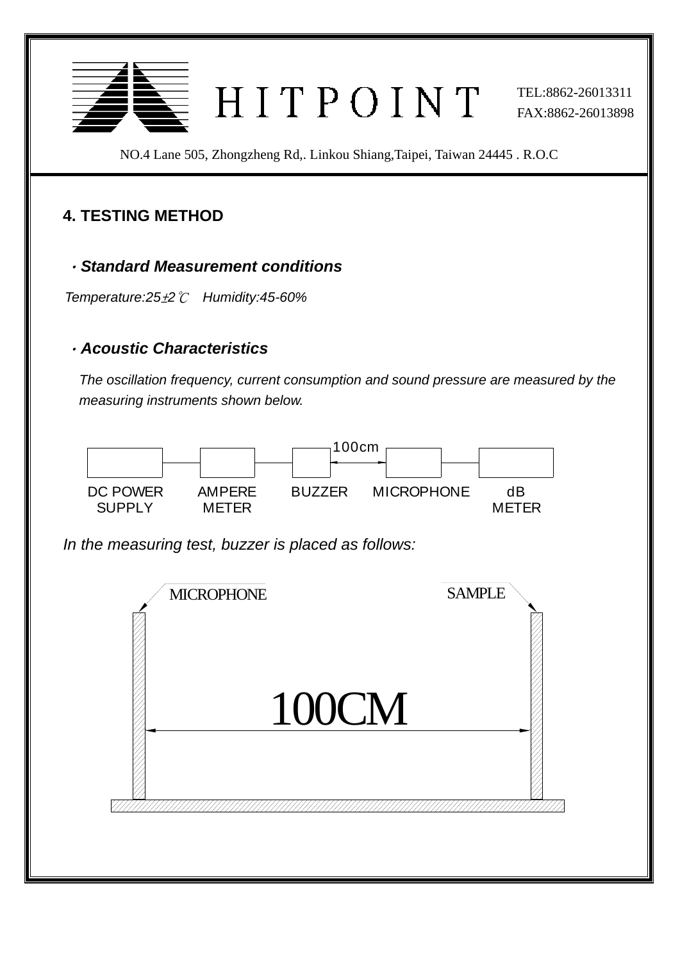

NO.4 Lane 505, Zhongzheng Rd,. Linkou Shiang,Taipei, Taiwan 24445 . R.O.C

# **4. TESTING METHOD**

Ī

#### .*Standard Measurement conditions*

*T emperature:25*±*2*℃ *Humidity:45-60%* 

#### . *coustic Characteristics A*

The oscillation frequency, current consumption and sound pressure are measured by the *measuring instruments shown below.* 



*In the measuring test, buzzer is placed as follows:*